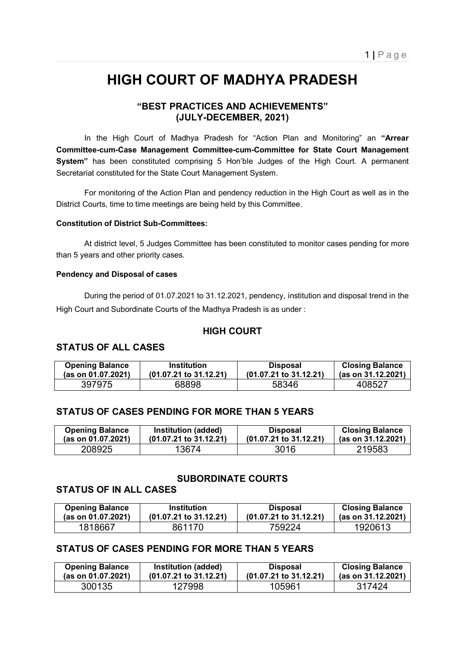# **HIGH COURT OF MADHYA PRADESH**

# **"BEST PRACTICES AND ACHIEVEMENTS" (JULY-DECEMBER, 2021)**

 In the High Court of Madhya Pradesh for "Action Plan and Monitoring" an **"Arrear Committee-cum-Case Management Committee-cum-Committee for State Court Management System"** has been constituted comprising 5 Hon'ble Judges of the High Court. A permanent Secretariat constituted for the State Court Management System.

 For monitoring of the Action Plan and pendency reduction in the High Court as well as in the District Courts, time to time meetings are being held by this Committee.

#### **Constitution of District Sub-Committees:**

 At district level, 5 Judges Committee has been constituted to monitor cases pending for more than 5 years and other priority cases.

#### **Pendency and Disposal of cases**

 During the period of 01.07.2021 to 31.12.2021, pendency, institution and disposal trend in the High Court and Subordinate Courts of the Madhya Pradesh is as under :

#### **HIGH COURT**

## **STATUS OF ALL CASES**

| <b>Opening Balance</b> | <b>Institution</b>                | <b>Disposal</b>        | <b>Closing Balance</b> |
|------------------------|-----------------------------------|------------------------|------------------------|
| (as on 01.07.2021)     | $(01.07.21 \text{ to } 31.12.21)$ | (01.07.21 to 31.12.21) | (as on 31.12.2021)     |
| 397975                 | 68898                             | 58346                  | 408527                 |

## **STATUS OF CASES PENDING FOR MORE THAN 5 YEARS**

| <b>Opening Balance</b> | Institution (added)               | <b>Disposal</b>        | <b>Closing Balance</b> |
|------------------------|-----------------------------------|------------------------|------------------------|
| (as on 01.07.2021)     | $(01.07.21 \text{ to } 31.12.21)$ | (01.07.21 to 31.12.21) | (as on 31.12.2021)     |
| 208925                 | 13674                             | 3016                   | 219583                 |

## **SUBORDINATE COURTS**

## **STATUS OF IN ALL CASES**

| <b>Opening Balance</b> | <b>Institution</b>                | <b>Disposal</b>        | <b>Closing Balance</b> |
|------------------------|-----------------------------------|------------------------|------------------------|
| (as on 01.07.2021)     | $(01.07.21 \text{ to } 31.12.21)$ | (01.07.21 to 31.12.21) | (as on 31.12.2021)     |
| 1818667                | 861170                            | 759224                 | 1920613                |

# **STATUS OF CASES PENDING FOR MORE THAN 5 YEARS**

| <b>Opening Balance</b> | Institution (added)               | <b>Disposal</b>                   | <b>Closing Balance</b> |
|------------------------|-----------------------------------|-----------------------------------|------------------------|
| (as on 01.07.2021)     | $(01.07.21 \text{ to } 31.12.21)$ | $(01.07.21 \text{ to } 31.12.21)$ | (as on 31.12.2021)     |
| 300135                 | 127998                            | 105961                            | 317424                 |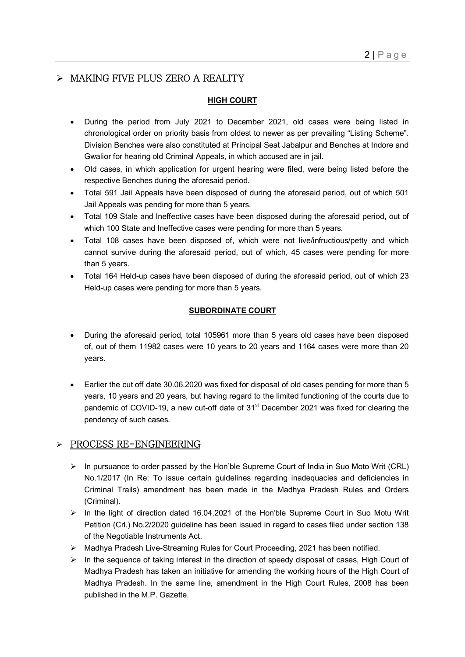# > MAKING FIVE PLUS ZERO A REALITY

## **HIGH COURT**

- During the period from July 2021 to December 2021, old cases were being listed in chronological order on priority basis from oldest to newer as per prevailing "Listing Scheme". Division Benches were also constituted at Principal Seat Jabalpur and Benches at Indore and Gwalior for hearing old Criminal Appeals, in which accused are in jail.
- Old cases, in which application for urgent hearing were filed, were being listed before the respective Benches during the aforesaid period.
- Total 591 Jail Appeals have been disposed of during the aforesaid period, out of which 501 Jail Appeals was pending for more than 5 years.
- Total 109 Stale and Ineffective cases have been disposed during the aforesaid period, out of which 100 State and Ineffective cases were pending for more than 5 years.
- Total 108 cases have been disposed of, which were not live/infructious/petty and which cannot survive during the aforesaid period, out of which, 45 cases were pending for more than 5 years.
- Total 164 Held-up cases have been disposed of during the aforesaid period, out of which 23 Held-up cases were pending for more than 5 years.

#### **SUBORDINATE COURT**

- During the aforesaid period, total 105961 more than 5 years old cases have been disposed of, out of them 11982 cases were 10 years to 20 years and 1164 cases were more than 20 years.
- Earlier the cut off date 30.06.2020 was fixed for disposal of old cases pending for more than 5 years, 10 years and 20 years, but having regard to the limited functioning of the courts due to pandemic of COVID-19, a new cut-off date of 31<sup>st</sup> December 2021 was fixed for clearing the pendency of such cases.

# $\triangleright$  PROCESS RE-ENGINEERING

- $\triangleright$  In pursuance to order passed by the Hon'ble Supreme Court of India in Suo Moto Writ (CRL) No.1/2017 (In Re: To issue certain guidelines regarding inadequacies and deficiencies in Criminal Trails) amendment has been made in the Madhya Pradesh Rules and Orders (Criminal).
- $\triangleright$  In the light of direction dated 16.04.2021 of the Hon'ble Supreme Court in Suo Motu Writ Petition (Crl.) No.2/2020 guideline has been issued in regard to cases filed under section 138 of the Negotiable Instruments Act.
- ▶ Madhya Pradesh Live-Streaming Rules for Court Proceeding, 2021 has been notified.
- $\triangleright$  In the sequence of taking interest in the direction of speedy disposal of cases, High Court of Madhya Pradesh has taken an initiative for amending the working hours of the High Court of Madhya Pradesh. In the same line, amendment in the High Court Rules, 2008 has been published in the M.P. Gazette.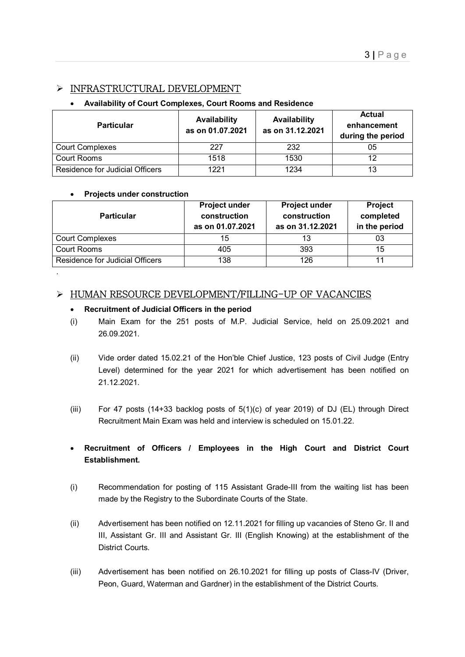# INFRASTRUCTURAL DEVELOPMENT

#### **Availability of Court Complexes, Court Rooms and Residence**

| <b>Particular</b>               | Availability<br>as on 01.07.2021 | Availability<br>as on 31.12.2021 | <b>Actual</b><br>enhancement<br>during the period |
|---------------------------------|----------------------------------|----------------------------------|---------------------------------------------------|
| <b>Court Complexes</b>          | 227                              | 232                              | 05                                                |
| Court Rooms                     | 1518                             | 1530                             | 12                                                |
| Residence for Judicial Officers | 1221                             | 1234                             | 13                                                |

#### **Projects under construction**

.

| <b>Particular</b>               | <b>Project under</b><br>construction<br>as on 01.07.2021 | <b>Project under</b><br>construction<br>as on 31.12.2021 | <b>Project</b><br>completed<br>in the period |
|---------------------------------|----------------------------------------------------------|----------------------------------------------------------|----------------------------------------------|
| <b>Court Complexes</b>          | 15                                                       | 13                                                       | 03                                           |
| Court Rooms                     | 405                                                      | 393                                                      | 15                                           |
| Residence for Judicial Officers | 138                                                      | 126                                                      | 11                                           |

## > HUMAN RESOURCE DEVELOPMENT/FILLING-UP OF VACANCIES

#### **Recruitment of Judicial Officers in the period**

- (i) Main Exam for the 251 posts of M.P. Judicial Service, held on 25.09.2021 and 26.09.2021.
- (ii) Vide order dated 15.02.21 of the Hon'ble Chief Justice, 123 posts of Civil Judge (Entry Level) determined for the year 2021 for which advertisement has been notified on 21.12.2021.
- (iii) For 47 posts (14+33 backlog posts of 5(1)(c) of year 2019) of DJ (EL) through Direct Recruitment Main Exam was held and interview is scheduled on 15.01.22.
- **Recruitment of Officers / Employees in the High Court and District Court Establishment.**
- (i) Recommendation for posting of 115 Assistant Grade-III from the waiting list has been made by the Registry to the Subordinate Courts of the State.
- (ii) Advertisement has been notified on 12.11.2021 for filling up vacancies of Steno Gr. II and III, Assistant Gr. III and Assistant Gr. III (English Knowing) at the establishment of the District Courts.
- (iii) Advertisement has been notified on 26.10.2021 for filling up posts of Class-IV (Driver, Peon, Guard, Waterman and Gardner) in the establishment of the District Courts.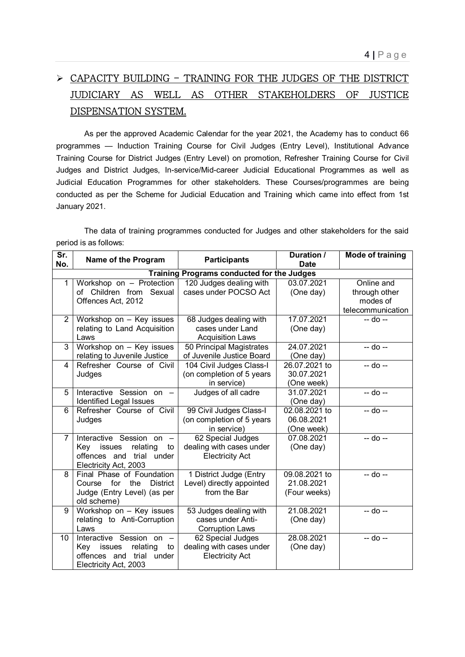# CAPACITY BUILDING - TRAINING FOR THE JUDGES OF THE DISTRICT JUDICIARY AS WELL AS OTHER STAKEHOLDERS OF JUSTICE DISPENSATION SYSTEM.

 As per the approved Academic Calendar for the year 2021, the Academy has to conduct 66 programmes — Induction Training Course for Civil Judges (Entry Level), Institutional Advance Training Course for District Judges (Entry Level) on promotion, Refresher Training Course for Civil Judges and District Judges, In-service/Mid-career Judicial Educational Programmes as well as Judicial Education Programmes for other stakeholders. These Courses/programmes are being conducted as per the Scheme for Judicial Education and Training which came into effect from 1st January 2021.

 The data of training programmes conducted for Judges and other stakeholders for the said period is as follows:

| $\overline{\mathsf{Sr.}}$<br>No. | Name of the Program               | <b>Participants</b>                               | <b>Duration /</b><br><b>Date</b> | <b>Mode of training</b> |
|----------------------------------|-----------------------------------|---------------------------------------------------|----------------------------------|-------------------------|
|                                  |                                   | <b>Training Programs conducted for the Judges</b> |                                  |                         |
| 1                                | Workshop on - Protection          | 120 Judges dealing with                           | 03.07.2021                       | Online and              |
|                                  | of Children from Sexual           | cases under POCSO Act                             | (One day)                        | through other           |
|                                  | Offences Act, 2012                |                                                   |                                  | modes of                |
|                                  |                                   |                                                   |                                  | telecommunication       |
| $\overline{2}$                   | Workshop on - Key issues          | 68 Judges dealing with                            | 17.07.2021                       | $-$ do $-$              |
|                                  | relating to Land Acquisition      | cases under Land                                  | (One day)                        |                         |
|                                  | Laws                              | <b>Acquisition Laws</b>                           |                                  |                         |
| 3                                | Workshop on - Key issues          | 50 Principal Magistrates                          | 24.07.2021                       | $-$ do $-$              |
|                                  | relating to Juvenile Justice      | of Juvenile Justice Board                         | (One day)                        |                         |
| 4                                | Refresher Course of Civil         | 104 Civil Judges Class-I                          | 26.07.2021 to                    | $-$ do $-$              |
|                                  | Judges                            | (on completion of 5 years                         | 30.07.2021                       |                         |
|                                  |                                   | in service)                                       | (One week)                       |                         |
| 5                                | Interactive Session on -          | Judges of all cadre                               | 31.07.2021                       | -- do --                |
|                                  | <b>Identified Legal Issues</b>    |                                                   | (One day)                        |                         |
| 6                                | Refresher Course of Civil         | 99 Civil Judges Class-I                           | 02.08.2021 to                    | $-$ do $-$              |
|                                  | Judges                            | (on completion of 5 years                         | 06.08.2021                       |                         |
|                                  |                                   | in service)                                       | (One week)                       |                         |
| 7                                | Interactive Session<br>on $-$     | 62 Special Judges                                 | 07.08.2021                       | $-$ do $-$              |
|                                  | Kev<br>relating<br>issues<br>to   | dealing with cases under                          | (One day)                        |                         |
|                                  | offences and<br>under<br>trial    | <b>Electricity Act</b>                            |                                  |                         |
|                                  | Electricity Act, 2003             |                                                   |                                  |                         |
| 8                                | Final Phase of Foundation         | 1 District Judge (Entry                           | 09.08.2021 to                    | $-$ do $-$              |
|                                  | Course for the<br><b>District</b> | Level) directly appointed                         | 21.08.2021                       |                         |
|                                  | Judge (Entry Level) (as per       | from the Bar                                      | (Four weeks)                     |                         |
|                                  | old scheme)                       |                                                   |                                  |                         |
| 9                                | Workshop on - Key issues          | 53 Judges dealing with                            | 21.08.2021                       | $-$ do $-$              |
|                                  | relating to Anti-Corruption       | cases under Anti-                                 | (One day)                        |                         |
|                                  | Laws                              | <b>Corruption Laws</b>                            |                                  |                         |
| 10                               | Interactive Session on -          | 62 Special Judges                                 | 28.08.2021                       | $-$ do $-$              |
|                                  | relating<br>Key<br>issues<br>to   | dealing with cases under                          | (One day)                        |                         |
|                                  | offences and trial<br>under       | <b>Electricity Act</b>                            |                                  |                         |
|                                  | Electricity Act, 2003             |                                                   |                                  |                         |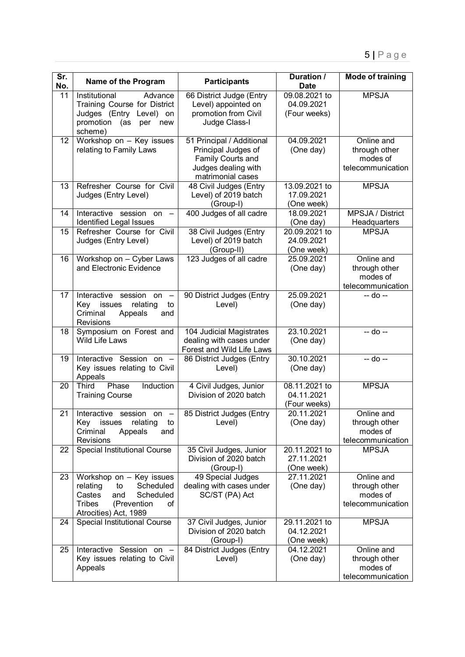| $\overline{\text{Sr.}}$<br>No. | Name of the Program                                                                                                                                  | <b>Participants</b>                                                                                               | Duration /<br><b>Date</b>                   | <b>Mode of training</b>                                      |
|--------------------------------|------------------------------------------------------------------------------------------------------------------------------------------------------|-------------------------------------------------------------------------------------------------------------------|---------------------------------------------|--------------------------------------------------------------|
| 11                             | Advance<br>Institutional<br>Training Course for District<br>Judges (Entry Level) on<br>promotion (as<br>per<br>new<br>scheme)                        | 66 District Judge (Entry<br>Level) appointed on<br>promotion from Civil<br>Judge Class-I                          | 09.08.2021 to<br>04.09.2021<br>(Four weeks) | <b>MPSJA</b>                                                 |
| 12 <sub>2</sub>                | Workshop on - Key issues<br>relating to Family Laws                                                                                                  | 51 Principal / Additional<br>Principal Judges of<br>Family Courts and<br>Judges dealing with<br>matrimonial cases | 04.09.2021<br>(One day)                     | Online and<br>through other<br>modes of<br>telecommunication |
| 13                             | Refresher Course for Civil<br>Judges (Entry Level)                                                                                                   | 48 Civil Judges (Entry<br>Level) of 2019 batch<br>(Group-I)                                                       | 13.09.2021 to<br>17.09.2021<br>(One week)   | <b>MPSJA</b>                                                 |
| 14                             | Interactive session on -<br><b>Identified Legal Issues</b>                                                                                           | 400 Judges of all cadre                                                                                           | 18.09.2021<br>(One day)                     | <b>MPSJA / District</b><br>Headquarters                      |
| 15                             | Refresher Course for Civil<br>Judges (Entry Level)                                                                                                   | 38 Civil Judges (Entry<br>Level) of 2019 batch<br>(Group-II)                                                      | 20.09.2021 to<br>24.09.2021<br>(One week)   | <b>MPSJA</b>                                                 |
| 16                             | Workshop on - Cyber Laws<br>and Electronic Evidence                                                                                                  | 123 Judges of all cadre                                                                                           | 25.09.2021<br>(One day)                     | Online and<br>through other<br>modes of<br>telecommunication |
| 17                             | Interactive session<br>on<br>$\sim$<br>Key<br>relating<br>issues<br>to<br>Criminal<br>Appeals<br>and<br><b>Revisions</b>                             | 90 District Judges (Entry<br>Level)                                                                               | 25.09.2021<br>(One day)                     | -- do --                                                     |
| 18                             | Symposium on Forest and<br>Wild Life Laws                                                                                                            | 104 Judicial Magistrates<br>dealing with cases under<br>Forest and Wild Life Laws                                 | 23.10.2021<br>(One day)                     | -- do --                                                     |
| 19                             | Interactive Session on -<br>Key issues relating to Civil<br>Appeals                                                                                  | 86 District Judges (Entry<br>Level)                                                                               | 30.10.2021<br>(One day)                     | $-$ do $-$                                                   |
| 20                             | Induction<br>Phase<br>Third<br><b>Training Course</b>                                                                                                | 4 Civil Judges, Junior<br>Division of 2020 batch                                                                  | 08.11.2021 to<br>04.11.2021<br>(Four weeks) | <b>MPSJA</b>                                                 |
| 21                             | Interactive session<br>on $-$<br>Key issues<br>relating<br>to<br>Criminal<br>Appeals<br>and<br><b>Revisions</b>                                      | 85 District Judges (Entry<br>Level)                                                                               | 20.11.2021<br>(One day)                     | Online and<br>through other<br>modes of<br>telecommunication |
| 22                             | <b>Special Institutional Course</b>                                                                                                                  | 35 Civil Judges, Junior<br>Division of 2020 batch<br>(Group-I)                                                    | 20.11.2021 to<br>27.11.2021<br>(One week)   | <b>MPSJA</b>                                                 |
| 23                             | Workshop on - Key issues<br>Scheduled<br>relating<br>to<br>Castes<br>Scheduled<br>and<br><b>Tribes</b><br>(Prevention<br>οf<br>Atrocities) Act, 1989 | 49 Special Judges<br>dealing with cases under<br>SC/ST (PA) Act                                                   | 27.11.2021<br>(One day)                     | Online and<br>through other<br>modes of<br>telecommunication |
| 24                             | Special Institutional Course                                                                                                                         | 37 Civil Judges, Junior<br>Division of 2020 batch<br>(Group-I)                                                    | 29.11.2021 to<br>04.12.2021<br>(One week)   | <b>MPSJA</b>                                                 |
| 25                             | Interactive Session on -<br>Key issues relating to Civil<br>Appeals                                                                                  | 84 District Judges (Entry<br>Level)                                                                               | 04.12.2021<br>(One day)                     | Online and<br>through other<br>modes of<br>telecommunication |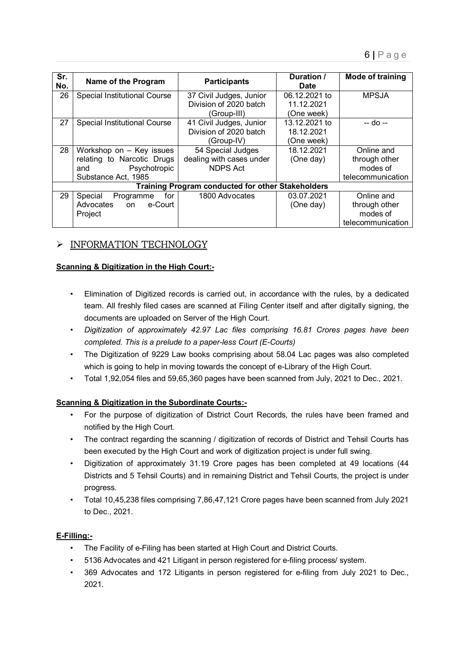| Sr.<br>No. | Name of the Program          | <b>Participants</b>                               | Duration /<br><b>Date</b> | Mode of training  |
|------------|------------------------------|---------------------------------------------------|---------------------------|-------------------|
| 26         | Special Institutional Course | 37 Civil Judges, Junior                           | 06.12.2021 to             | <b>MPSJA</b>      |
|            |                              | Division of 2020 batch                            | 11.12.2021                |                   |
|            |                              | (Group-III)                                       | (One week)                |                   |
| 27         | Special Institutional Course | 41 Civil Judges, Junior                           | 13.12.2021 to             | -- do --          |
|            |                              | Division of 2020 batch                            | 18.12.2021                |                   |
|            |                              | (Group-IV)                                        | (One week)                |                   |
| 28         | Workshop on - Key issues     | 54 Special Judges                                 | 18.12.2021                | Online and        |
|            | relating to Narcotic Drugs   | dealing with cases under                          | (One day)                 | through other     |
|            | Psychotropic<br>and          | <b>NDPS Act</b>                                   |                           | modes of          |
|            | Substance Act, 1985          |                                                   |                           | telecommunication |
|            |                              | Training Program conducted for other Stakeholders |                           |                   |
| 29         | Special<br>for<br>Programme  | 1800 Advocates                                    | 03.07.2021                | Online and        |
|            | Advocates on e-Court         |                                                   | (One day)                 | through other     |
|            | Project                      |                                                   |                           | modes of          |
|            |                              |                                                   |                           | telecommunication |

# $\triangleright$  INFORMATION TECHNOLOGY

# **Scanning & Digitization in the High Court:-**

- Elimination of Digitized records is carried out, in accordance with the rules, by a dedicated team. All freshly filed cases are scanned at Filing Center itself and after digitally signing, the documents are uploaded on Server of the High Court.
- *Digitization of approximately 42.97 Lac files comprising 16.81 Crores pages have been completed. This is a prelude to a paper-less Court (E-Courts)*
- The Digitization of 9229 Law books comprising about 58.04 Lac pages was also completed which is going to help in moving towards the concept of e-Library of the High Court.
- Total 1,92,054 files and 59,65,360 pages have been scanned from July, 2021 to Dec., 2021.

# **Scanning & Digitization in the Subordinate Courts:-**

- For the purpose of digitization of District Court Records, the rules have been framed and notified by the High Court.
- The contract regarding the scanning / digitization of records of District and Tehsil Courts has been executed by the High Court and work of digitization project is under full swing.
- Digitization of approximately 31.19 Crore pages has been completed at 49 locations (44 Districts and 5 Tehsil Courts) and in remaining District and Tehsil Courts, the project is under progress.
- Total 10,45,238 files comprising 7,86,47,121 Crore pages have been scanned from July 2021 to Dec., 2021.

## **E-Filling:-**

- The Facility of e-Filing has been started at High Court and District Courts.
- 5136 Advocates and 421 Litigant in person registered for e-filing process/ system.
- 369 Advocates and 172 Litigants in person registered for e-filing from July 2021 to Dec., 2021.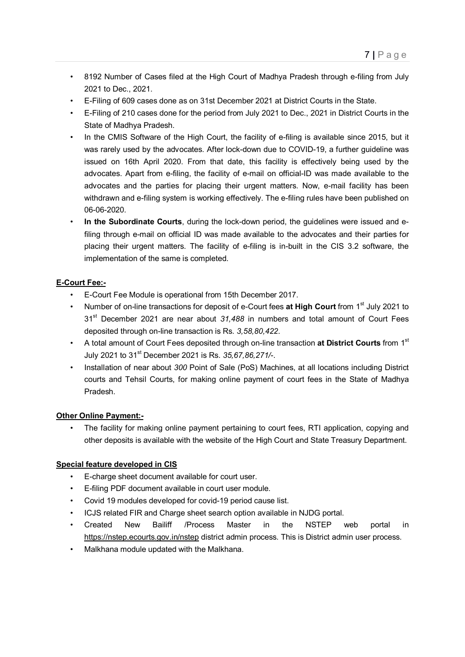- 8192 Number of Cases filed at the High Court of Madhya Pradesh through e-filing from July 2021 to Dec., 2021.
- E-Filing of 609 cases done as on 31st December 2021 at District Courts in the State.
- E-Filing of 210 cases done for the period from July 2021 to Dec., 2021 in District Courts in the State of Madhya Pradesh.
- In the CMIS Software of the High Court, the facility of e-filing is available since 2015, but it was rarely used by the advocates. After lock-down due to COVID-19, a further guideline was issued on 16th April 2020. From that date, this facility is effectively being used by the advocates. Apart from e-filing, the facility of e-mail on official-ID was made available to the advocates and the parties for placing their urgent matters. Now, e-mail facility has been withdrawn and e-filing system is working effectively. The e-filing rules have been published on 06-06-2020.
- **In the Subordinate Courts**, during the lock-down period, the guidelines were issued and efiling through e-mail on official ID was made available to the advocates and their parties for placing their urgent matters. The facility of e-filing is in-built in the CIS 3.2 software, the implementation of the same is completed.

## **E-Court Fee:-**

- E-Court Fee Module is operational from 15th December 2017.
- Number of on-line transactions for deposit of e-Court fees **at High Court** from 1<sup>st</sup> July 2021 to 31st December 2021 are near about *31,488* in numbers and total amount of Court Fees deposited through on-line transaction is Rs. *3,58,80,422*.
- A total amount of Court Fees deposited through on-line transaction **at District Courts** from 1st July 2021 to 31st December 2021 is Rs. *35,67,86,271/-*.
- Installation of near about *300* Point of Sale (PoS) Machines, at all locations including District courts and Tehsil Courts, for making online payment of court fees in the State of Madhya Pradesh.

## **Other Online Payment:-**

• The facility for making online payment pertaining to court fees, RTI application, copying and other deposits is available with the website of the High Court and State Treasury Department.

## **Special feature developed in CIS**

- E-charge sheet document available for court user.
- E-filing PDF document available in court user module.
- Covid 19 modules developed for covid-19 period cause list.
- ICJS related FIR and Charge sheet search option available in NJDG portal.
- Created New Bailiff /Process Master in the NSTEP web portal in https://nstep.ecourts.gov.in/nstep district admin process. This is District admin user process.
- Malkhana module updated with the Malkhana.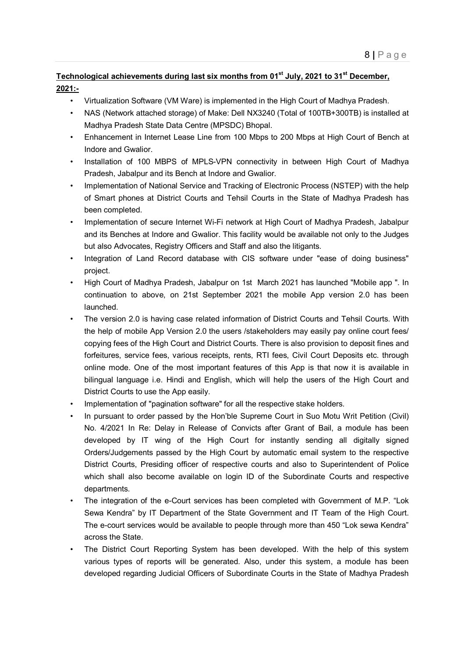# Technological achievements during last six months from 01<sup>st</sup> July, 2021 to 31<sup>st</sup> December, **2021:-**

- Virtualization Software (VM Ware) is implemented in the High Court of Madhya Pradesh.
- NAS (Network attached storage) of Make: Dell NX3240 (Total of 100TB+300TB) is installed at Madhya Pradesh State Data Centre (MPSDC) Bhopal.
- Enhancement in Internet Lease Line from 100 Mbps to 200 Mbps at High Court of Bench at Indore and Gwalior.
- Installation of 100 MBPS of MPLS-VPN connectivity in between High Court of Madhya Pradesh, Jabalpur and its Bench at Indore and Gwalior.
- Implementation of National Service and Tracking of Electronic Process (NSTEP) with the help of Smart phones at District Courts and Tehsil Courts in the State of Madhya Pradesh has been completed.
- Implementation of secure Internet Wi-Fi network at High Court of Madhya Pradesh, Jabalpur and its Benches at Indore and Gwalior. This facility would be available not only to the Judges but also Advocates, Registry Officers and Staff and also the litigants.
- Integration of Land Record database with CIS software under "ease of doing business" project.
- High Court of Madhya Pradesh, Jabalpur on 1st March 2021 has launched "Mobile app ". In continuation to above, on 21st September 2021 the mobile App version 2.0 has been launched.
- The version 2.0 is having case related information of District Courts and Tehsil Courts. With the help of mobile App Version 2.0 the users /stakeholders may easily pay online court fees/ copying fees of the High Court and District Courts. There is also provision to deposit fines and forfeitures, service fees, various receipts, rents, RTI fees, Civil Court Deposits etc. through online mode. One of the most important features of this App is that now it is available in bilingual language i.e. Hindi and English, which will help the users of the High Court and District Courts to use the App easily.
- Implementation of "pagination software" for all the respective stake holders.
- In pursuant to order passed by the Hon'ble Supreme Court in Suo Motu Writ Petition (Civil) No. 4/2021 In Re: Delay in Release of Convicts after Grant of Bail, a module has been developed by IT wing of the High Court for instantly sending all digitally signed Orders/Judgements passed by the High Court by automatic email system to the respective District Courts, Presiding officer of respective courts and also to Superintendent of Police which shall also become available on login ID of the Subordinate Courts and respective departments.
- The integration of the e-Court services has been completed with Government of M.P. "Lok Sewa Kendra" by IT Department of the State Government and IT Team of the High Court. The e-court services would be available to people through more than 450 "Lok sewa Kendra" across the State.
- The District Court Reporting System has been developed. With the help of this system various types of reports will be generated. Also, under this system, a module has been developed regarding Judicial Officers of Subordinate Courts in the State of Madhya Pradesh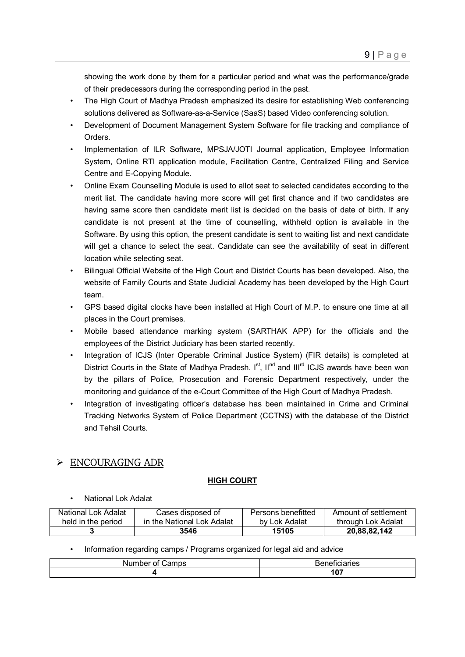showing the work done by them for a particular period and what was the performance/grade of their predecessors during the corresponding period in the past.

- The High Court of Madhya Pradesh emphasized its desire for establishing Web conferencing solutions delivered as Software-as-a-Service (SaaS) based Video conferencing solution.
- Development of Document Management System Software for file tracking and compliance of Orders.
- Implementation of ILR Software, MPSJA/JOTI Journal application, Employee Information System, Online RTI application module, Facilitation Centre, Centralized Filing and Service Centre and E-Copying Module.
- Online Exam Counselling Module is used to allot seat to selected candidates according to the merit list. The candidate having more score will get first chance and if two candidates are having same score then candidate merit list is decided on the basis of date of birth. If any candidate is not present at the time of counselling, withheld option is available in the Software. By using this option, the present candidate is sent to waiting list and next candidate will get a chance to select the seat. Candidate can see the availability of seat in different location while selecting seat.
- Bilingual Official Website of the High Court and District Courts has been developed. Also, the website of Family Courts and State Judicial Academy has been developed by the High Court team.
- GPS based digital clocks have been installed at High Court of M.P. to ensure one time at all places in the Court premises.
- Mobile based attendance marking system (SARTHAK APP) for the officials and the employees of the District Judiciary has been started recently.
- Integration of ICJS (Inter Operable Criminal Justice System) (FIR details) is completed at District Courts in the State of Madhya Pradesh.  $I^{st}$ ,  $II^{nd}$  and  $III^{rd}$  ICJS awards have been won by the pillars of Police, Prosecution and Forensic Department respectively, under the monitoring and guidance of the e-Court Committee of the High Court of Madhya Pradesh.
- Integration of investigating officer's database has been maintained in Crime and Criminal Tracking Networks System of Police Department (CCTNS) with the database of the District and Tehsil Courts.

# ENCOURAGING ADR

## **HIGH COURT**

• National Lok Adalat

| National Lok Adalat | Cases disposed of          | Persons benefitted | Amount of settlement |
|---------------------|----------------------------|--------------------|----------------------|
| held in the period  | in the National Lok Adalat | by Lok Adalat      | through Lok Adalat   |
|                     | 3546                       | 15105              | 20.88.82.142         |

• Information regarding camps / Programs organized for legal aid and advice

| nt<br>كamps<br>M<br>uue. | nu o o<br>cianes<br>¬ь. |
|--------------------------|-------------------------|
|                          | $\sim$<br>v,            |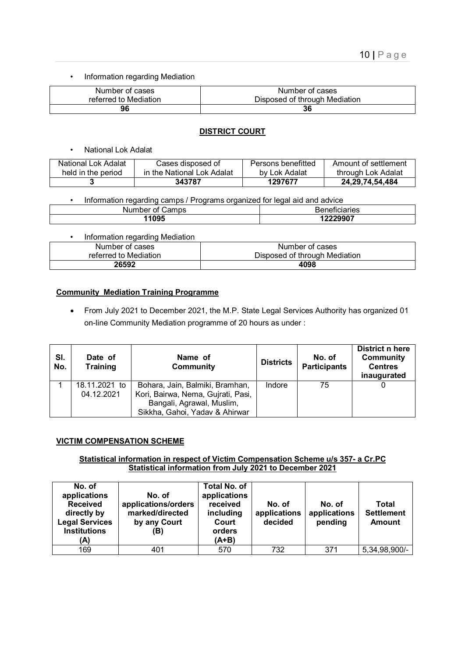• Information regarding Mediation

| Number of cases       | Number of cases               |
|-----------------------|-------------------------------|
| referred to Mediation | Disposed of through Mediation |
| 96                    | 36                            |

#### **DISTRICT COURT**

• National Lok Adalat

| National Lok Adalat | Cases disposed of          | Persons benefitted | Amount of settlement |
|---------------------|----------------------------|--------------------|----------------------|
| held in the period  | in the National Lok Adalat | by Lok Adalat      | through Lok Adalat   |
|                     | 343787                     | 1297677            | 24,29,74,54,484      |

|  | Information regarding camps / Programs organized for legal aid and advice |  |
|--|---------------------------------------------------------------------------|--|
|  |                                                                           |  |

| കamps<br>Number of $\theta$ | <b>Beneficiaries</b> |  |  |
|-----------------------------|----------------------|--|--|
| 1095                        | 1000007<br>LLLJJU I  |  |  |

| Information regarding Mediation |                               |
|---------------------------------|-------------------------------|
| Number of cases                 | Number of cases               |
| referred to Mediation           | Disposed of through Mediation |
| 26592                           | 4098                          |

#### **Community Mediation Training Programme**

 From July 2021 to December 2021, the M.P. State Legal Services Authority has organized 01 on-line Community Mediation programme of 20 hours as under :

| SI.<br>No. | Date of<br><b>Training</b> | Name of<br><b>Community</b>        | <b>Districts</b> | No. of<br><b>Participants</b> | District n here<br><b>Community</b><br><b>Centres</b><br>inaugurated |
|------------|----------------------------|------------------------------------|------------------|-------------------------------|----------------------------------------------------------------------|
|            | 18.11.2021 to              | Bohara, Jain, Balmiki, Bramhan,    | Indore           | 75                            |                                                                      |
|            | 04.12.2021                 | Kori, Bairwa, Nema, Gujrati, Pasi, |                  |                               |                                                                      |
|            |                            | Bangali, Agrawal, Muslim,          |                  |                               |                                                                      |
|            |                            | Sikkha, Gahoi, Yadav & Ahirwar     |                  |                               |                                                                      |

#### **VICTIM COMPENSATION SCHEME**

#### **Statistical information in respect of Victim Compensation Scheme u/s 357- a Cr.PC Statistical information from July 2021 to December 2021**

| No. of<br>applications<br><b>Received</b><br>directly by<br><b>Legal Services</b><br><b>Institutions</b><br>(A) | No. of<br>applications/orders<br>marked/directed<br>by any Court<br>(B) | <b>Total No. of</b><br>applications<br>received<br>including<br>Court<br>orders<br>$(A+B)$ | No. of<br>applications<br>decided | No. of<br>applications<br>pending | Total<br><b>Settlement</b><br><b>Amount</b> |
|-----------------------------------------------------------------------------------------------------------------|-------------------------------------------------------------------------|--------------------------------------------------------------------------------------------|-----------------------------------|-----------------------------------|---------------------------------------------|
| 169                                                                                                             | 401                                                                     | 570                                                                                        | 732                               | 371                               | 5,34,98,900/-                               |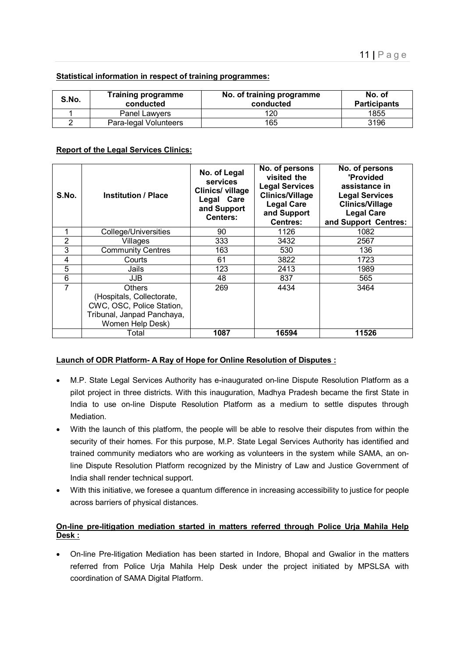#### **Statistical information in respect of training programmes:**

| S.No. | <b>Training programme</b><br>conducted | No. of training programme<br>conducted | No. of<br><b>Participants</b> |
|-------|----------------------------------------|----------------------------------------|-------------------------------|
|       | Panel Lawyers                          | 120                                    | 1855                          |
|       | Para-legal Volunteers                  | 165                                    | 3196                          |

#### **Report of the Legal Services Clinics:**

| S.No.          | <b>Institution / Place</b>                                                                                                | No. of Legal<br><b>services</b><br>Clinics/ village<br>Legal Care<br>and Support<br>Centers: | No. of persons<br>visited the<br><b>Legal Services</b><br><b>Clinics/Village</b><br><b>Legal Care</b><br>and Support<br><b>Centres:</b> | No. of persons<br>'Provided<br>assistance in<br><b>Legal Services</b><br><b>Clinics/Village</b><br><b>Legal Care</b><br>and Support Centres: |
|----------------|---------------------------------------------------------------------------------------------------------------------------|----------------------------------------------------------------------------------------------|-----------------------------------------------------------------------------------------------------------------------------------------|----------------------------------------------------------------------------------------------------------------------------------------------|
|                | College/Universities                                                                                                      | 90                                                                                           | 1126                                                                                                                                    | 1082                                                                                                                                         |
| $\overline{2}$ | Villages                                                                                                                  | 333                                                                                          | 3432                                                                                                                                    | 2567                                                                                                                                         |
| 3              | <b>Community Centres</b>                                                                                                  | 163                                                                                          | 530                                                                                                                                     | 136                                                                                                                                          |
| 4              | Courts                                                                                                                    | 61                                                                                           | 3822                                                                                                                                    | 1723                                                                                                                                         |
| 5              | Jails                                                                                                                     | 123                                                                                          | 2413                                                                                                                                    | 1989                                                                                                                                         |
| 6              | JJB.                                                                                                                      | 48                                                                                           | 837                                                                                                                                     | 565                                                                                                                                          |
| 7              | <b>Others</b><br>(Hospitals, Collectorate,<br>CWC, OSC, Police Station,<br>Tribunal, Janpad Panchaya,<br>Women Help Desk) | 269                                                                                          | 4434                                                                                                                                    | 3464                                                                                                                                         |
|                | Total                                                                                                                     | 1087                                                                                         | 16594                                                                                                                                   | 11526                                                                                                                                        |

#### **Launch of ODR Platform- A Ray of Hope for Online Resolution of Disputes :**

- M.P. State Legal Services Authority has e-inaugurated on-line Dispute Resolution Platform as a pilot project in three districts. With this inauguration, Madhya Pradesh became the first State in India to use on-line Dispute Resolution Platform as a medium to settle disputes through Mediation.
- With the launch of this platform, the people will be able to resolve their disputes from within the security of their homes. For this purpose, M.P. State Legal Services Authority has identified and trained community mediators who are working as volunteers in the system while SAMA, an online Dispute Resolution Platform recognized by the Ministry of Law and Justice Government of India shall render technical support.
- With this initiative, we foresee a quantum difference in increasing accessibility to justice for people across barriers of physical distances.

#### **On-line pre-litigation mediation started in matters referred through Police Urja Mahila Help Desk :**

 On-line Pre-litigation Mediation has been started in Indore, Bhopal and Gwalior in the matters referred from Police Urja Mahila Help Desk under the project initiated by MPSLSA with coordination of SAMA Digital Platform.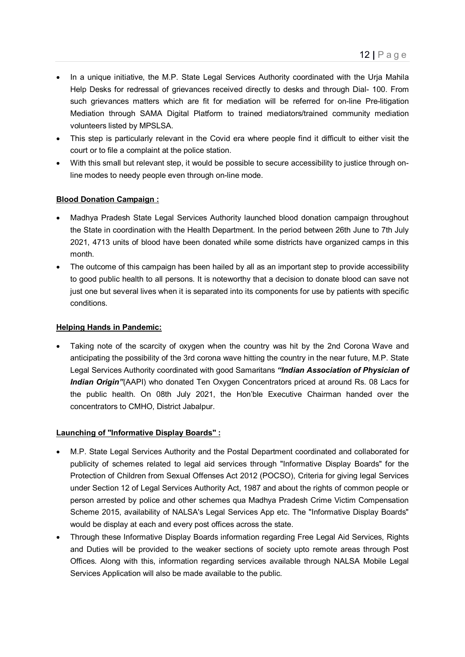- In a unique initiative, the M.P. State Legal Services Authority coordinated with the Urja Mahila Help Desks for redressal of grievances received directly to desks and through Dial- 100. From such grievances matters which are fit for mediation will be referred for on-line Pre-litigation Mediation through SAMA Digital Platform to trained mediators/trained community mediation volunteers listed by MPSLSA.
- This step is particularly relevant in the Covid era where people find it difficult to either visit the court or to file a complaint at the police station.
- With this small but relevant step, it would be possible to secure accessibility to justice through online modes to needy people even through on-line mode.

#### **Blood Donation Campaign :**

- Madhya Pradesh State Legal Services Authority launched blood donation campaign throughout the State in coordination with the Health Department. In the period between 26th June to 7th July 2021, 4713 units of blood have been donated while some districts have organized camps in this month.
- The outcome of this campaign has been hailed by all as an important step to provide accessibility to good public health to all persons. It is noteworthy that a decision to donate blood can save not just one but several lives when it is separated into its components for use by patients with specific conditions.

#### **Helping Hands in Pandemic:**

• Taking note of the scarcity of oxygen when the country was hit by the 2nd Corona Wave and anticipating the possibility of the 3rd corona wave hitting the country in the near future, M.P. State Legal Services Authority coordinated with good Samaritans *"Indian Association of Physician of Indian Origin"*(AAPI) who donated Ten Oxygen Concentrators priced at around Rs. 08 Lacs for the public health. On 08th July 2021, the Hon'ble Executive Chairman handed over the concentrators to CMHO, District Jabalpur.

#### **Launching of "Informative Display Boards" :**

- M.P. State Legal Services Authority and the Postal Department coordinated and collaborated for publicity of schemes related to legal aid services through "Informative Display Boards" for the Protection of Children from Sexual Offenses Act 2012 (POCSO), Criteria for giving legal Services under Section 12 of Legal Services Authority Act, 1987 and about the rights of common people or person arrested by police and other schemes qua Madhya Pradesh Crime Victim Compensation Scheme 2015, availability of NALSA's Legal Services App etc. The "Informative Display Boards" would be display at each and every post offices across the state.
- Through these Informative Display Boards information regarding Free Legal Aid Services, Rights and Duties will be provided to the weaker sections of society upto remote areas through Post Offices. Along with this, information regarding services available through NALSA Mobile Legal Services Application will also be made available to the public.